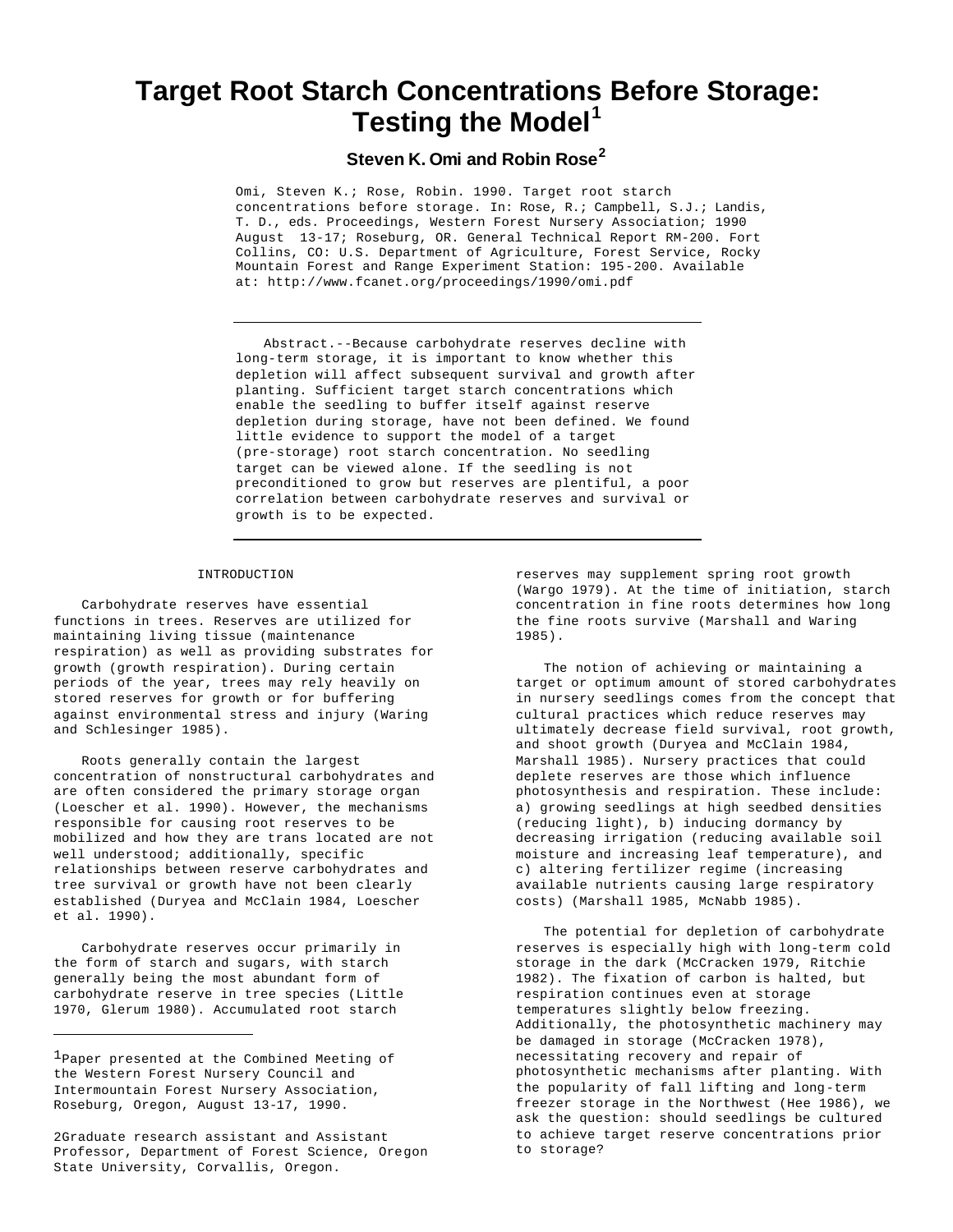# **Target Root Starch Concentrations Before Storage: Testing the Model<sup>1</sup>**

## **Steven K. Omi and Robin Rose<sup>2</sup>**

Omi, Steven K.; Rose, Robin. 1990. Target root starch concentrations before storage. In: Rose, R.; Campbell, S.J.; Landis, T. D., eds. Proceedings, Western Forest Nursery Association; 1990 August 13-17; Roseburg, OR. General Technical Report RM-200. Fort Collins, CO: U.S. Department of Agriculture, Forest Service, Rocky Mountain Forest and Range Experiment Station: 195-200. Available at: http://www.fcanet.org/proceedings/1990/omi.pdf

Abstract.--Because carbohydrate reserves decline with long-term storage, it is important to know whether this depletion will affect subsequent survival and growth after planting. Sufficient target starch concentrations which enable the seedling to buffer itself against reserve depletion during storage, have not been defined. We found little evidence to support the model of a target (pre-storage) root starch concentration. No seedling target can be viewed alone. If the seedling is not preconditioned to grow but reserves are plentiful, a poor correlation between carbohydrate reserves and survival or growth is to be expected.

### INTRODUCTION

Carbohydrate reserves have essential functions in trees. Reserves are utilized for maintaining living tissue (maintenance respiration) as well as providing substrates for growth (growth respiration). During certain periods of the year, trees may rely heavily on stored reserves for growth or for buffering against environmental stress and injury (Waring and Schlesinger 1985).

Roots generally contain the largest concentration of nonstructural carbohydrates and are often considered the primary storage organ (Loescher et al. 1990). However, the mechanisms responsible for causing root reserves to be mobilized and how they are trans located are not well understood; additionally, specific relationships between reserve carbohydrates and tree survival or growth have not been clearly established (Duryea and McClain 1984, Loescher et al. 1990).

Carbohydrate reserves occur primarily in the form of starch and sugars, with starch generally being the most abundant form of carbohydrate reserve in tree species (Little 1970, Glerum 1980). Accumulated root starch

reserves may supplement spring root growth (Wargo 1979). At the time of initiation, starch concentration in fine roots determines how long the fine roots survive (Marshall and Waring 1985).

The notion of achieving or maintaining a target or optimum amount of stored carbohydrates in nursery seedlings comes from the concept that cultural practices which reduce reserves may ultimately decrease field survival, root growth, and shoot growth (Duryea and McClain 1984, Marshall 1985). Nursery practices that could deplete reserves are those which influence photosynthesis and respiration. These include: a) growing seedlings at high seedbed densities (reducing light), b) inducing dormancy by decreasing irrigation (reducing available soil moisture and increasing leaf temperature), and c) altering fertilizer regime (increasing available nutrients causing large respiratory costs) (Marshall 1985, McNabb 1985).

The potential for depletion of carbohydrate reserves is especially high with long-term cold storage in the dark (McCracken 1979, Ritchie 1982). The fixation of carbon is halted, but respiration continues even at storage temperatures slightly below freezing. Additionally, the photosynthetic machinery may be damaged in storage (McCracken 1978), necessitating recovery and repair of photosynthetic mechanisms after planting. With the popularity of fall lifting and long-term freezer storage in the Northwest (Hee 1986), we ask the question: should seedlings be cultured to achieve target reserve concentrations prior to storage?

<sup>1</sup>Paper presented at the Combined Meeting of the Western Forest Nursery Council and Intermountain Forest Nursery Association, Roseburg, Oregon, August 13-17, 1990.

<sup>2</sup>Graduate research assistant and Assistant Professor, Department of Forest Science, Oregon State University, Corvallis, Oregon.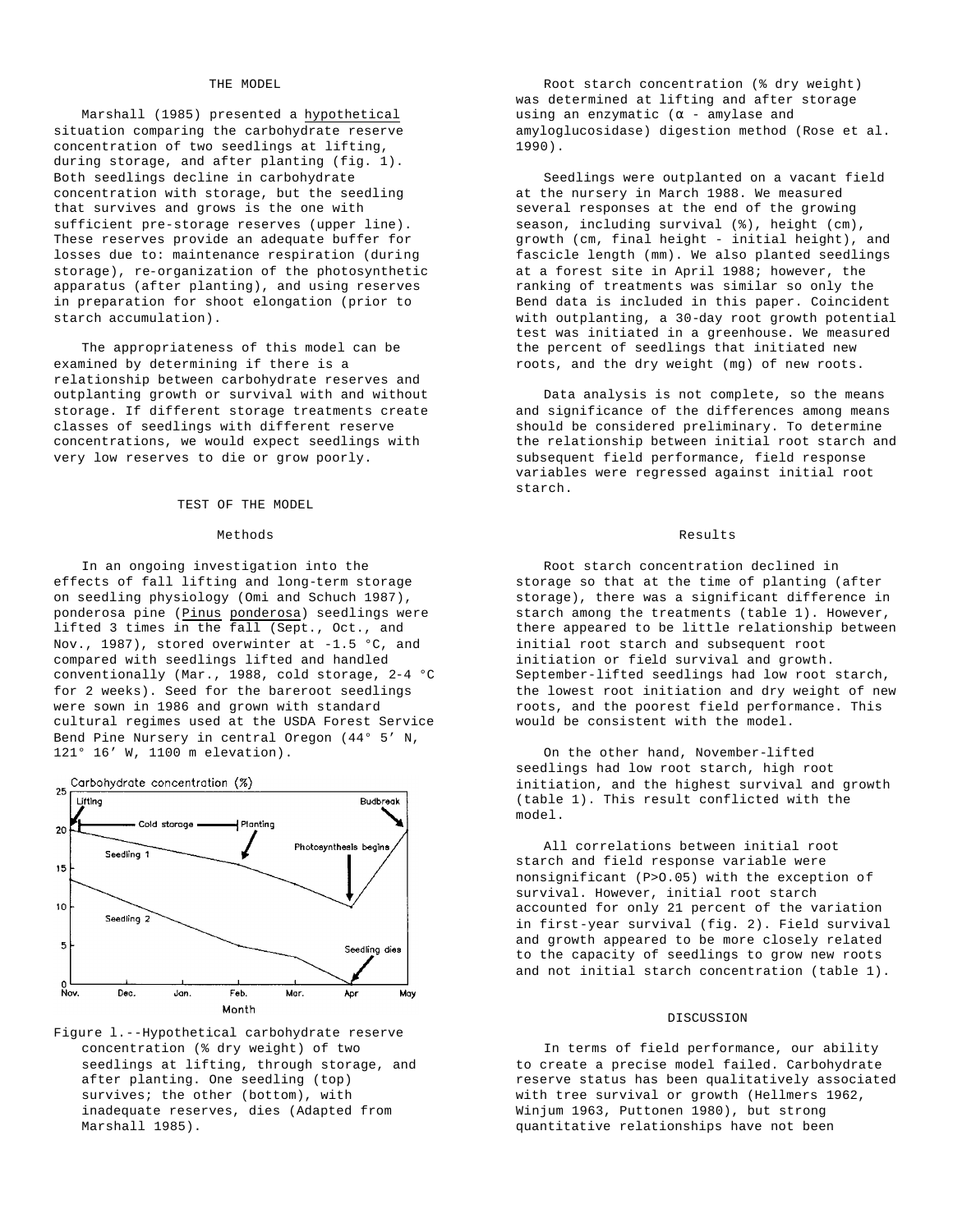#### THE MODEL

Marshall (1985) presented a hypothetical situation comparing the carbohydrate reserve concentration of two seedlings at lifting, during storage, and after planting (fig. 1). Both seedlings decline in carbohydrate concentration with storage, but the seedling that survives and grows is the one with sufficient pre-storage reserves (upper line). These reserves provide an adequate buffer for losses due to: maintenance respiration (during storage), re-organization of the photosynthetic apparatus (after planting), and using reserves in preparation for shoot elongation (prior to starch accumulation).

The appropriateness of this model can be examined by determining if there is a relationship between carbohydrate reserves and outplanting growth or survival with and without storage. If different storage treatments create classes of seedlings with different reserve concentrations, we would expect seedlings with very low reserves to die or grow poorly.

#### TEST OF THE MODEL

#### Methods

In an ongoing investigation into the effects of fall lifting and long-term storage on seedling physiology (Omi and Schuch 1987), ponderosa pine (Pinus ponderosa) seedlings were lifted 3 times in the fall (Sept., Oct., and Nov., 1987), stored overwinter at -1.5 °C, and compared with seedlings lifted and handled conventionally (Mar., 1988, cold storage, 2-4 °C for 2 weeks). Seed for the bareroot seedlings were sown in 1986 and grown with standard cultural regimes used at the USDA Forest Service Bend Pine Nursery in central Oregon (44° 5' N, 121° 16' W, 1100 m elevation).



Figure l.--Hypothetical carbohydrate reserve concentration (% dry weight) of two seedlings at lifting, through storage, and after planting. One seedling (top) survives; the other (bottom), with inadequate reserves, dies (Adapted from Marshall 1985).

Root starch concentration (% dry weight) was determined at lifting and after storage using an enzymatic ( $\alpha$  - amylase and amyloglucosidase) digestion method (Rose et al. 1990).

Seedlings were outplanted on a vacant field at the nursery in March 1988. We measured several responses at the end of the growing season, including survival (%), height (cm), growth (cm, final height - initial height), and fascicle length (mm). We also planted seedlings at a forest site in April 1988; however, the ranking of treatments was similar so only the Bend data is included in this paper. Coincident with outplanting, a 30-day root growth potential test was initiated in a greenhouse. We measured the percent of seedlings that initiated new roots, and the dry weight (mg) of new roots.

Data analysis is not complete, so the means and significance of the differences among means should be considered preliminary. To determine the relationship between initial root starch and subsequent field performance, field response variables were regressed against initial root starch.

#### Results

Root starch concentration declined in storage so that at the time of planting (after storage), there was a significant difference in starch among the treatments (table 1). However, there appeared to be little relationship between initial root starch and subsequent root initiation or field survival and growth. September-lifted seedlings had low root starch, the lowest root initiation and dry weight of new roots, and the poorest field performance. This would be consistent with the model.

On the other hand, November-lifted seedlings had low root starch, high root initiation, and the highest survival and growth (table 1). This result conflicted with the model.

All correlations between initial root starch and field response variable were nonsignificant (P>O.05) with the exception of survival. However, initial root starch accounted for only 21 percent of the variation in first-year survival (fig. 2). Field survival and growth appeared to be more closely related to the capacity of seedlings to grow new roots and not initial starch concentration (table 1).

#### DISCUSSION

In terms of field performance, our ability to create a precise model failed. Carbohydrate reserve status has been qualitatively associated with tree survival or growth (Hellmers 1962, Winjum 1963, Puttonen 1980), but strong quantitative relationships have not been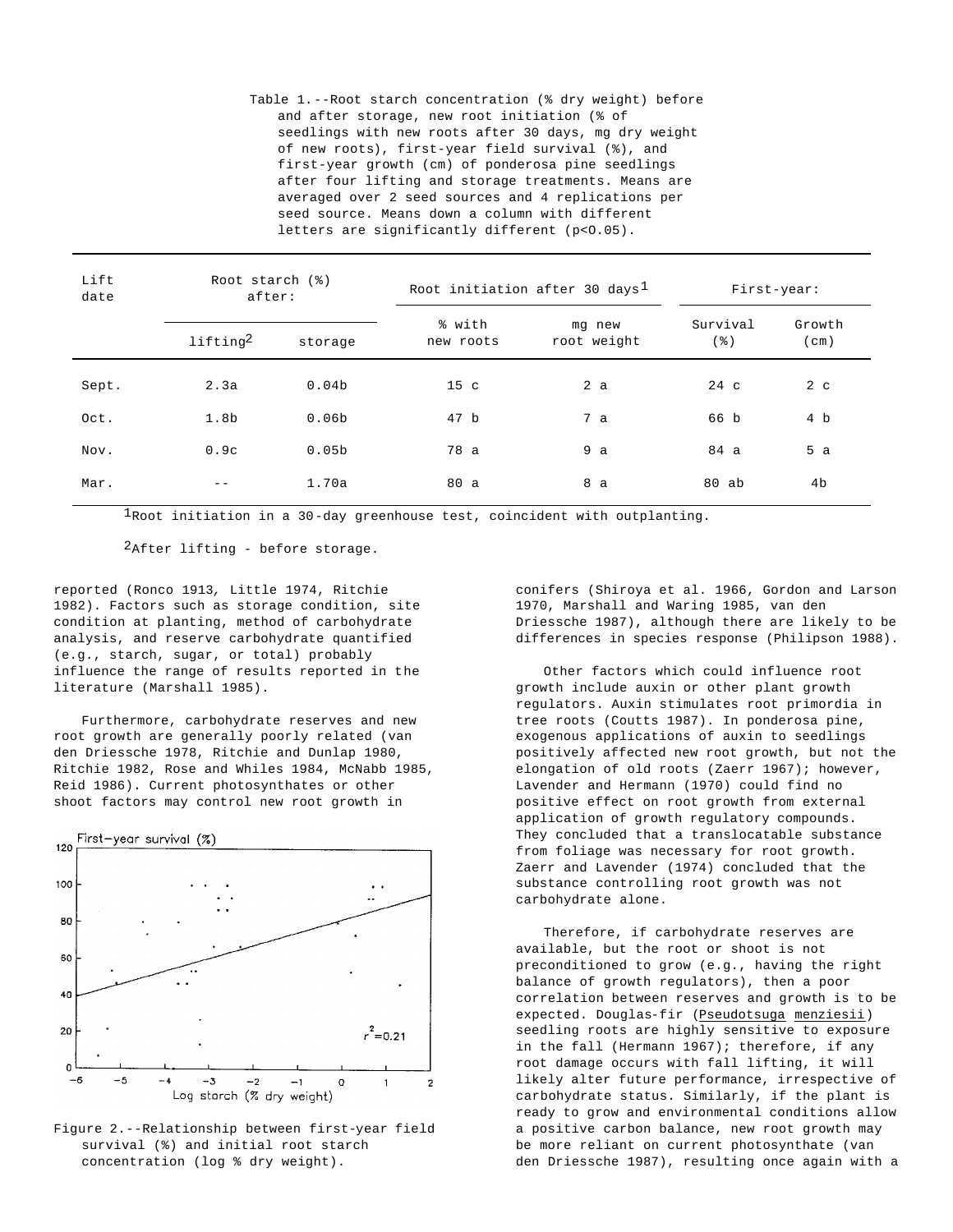Table 1.--Root starch concentration (% dry weight) before and after storage, new root initiation (% of seedlings with new roots after 30 days, mg dry weight of new roots), first-year field survival (%), and first-year growth (cm) of ponderosa pine seedlings after four lifting and storage treatments. Means are averaged over 2 seed sources and 4 replications per seed source. Means down a column with different letters are significantly different (p<0.05).

| Lift<br>date | Root starch (%)<br>after: |                   | Root initiation after 30 days <sup>1</sup> |                       | First-year:     |                |
|--------------|---------------------------|-------------------|--------------------------------------------|-----------------------|-----------------|----------------|
|              | lifting <sup>2</sup>      | storage           | % with<br>new roots                        | mg new<br>root weight | Survival<br>(%) | Growth<br>(cm) |
| Sept.        | 2.3a                      | 0.04 <sub>b</sub> | 15 <sub>c</sub>                            | 2a                    | $24\,c$         | 2 <sub>c</sub> |
| Oct.         | 1.8 <sub>b</sub>          | 0.06 <sub>b</sub> | 47 b                                       | 7a                    | 66 b            | 4 b            |
| Nov.         | 0.9c                      | 0.05 <sub>b</sub> | 78 a                                       | 9a                    | 84 a            | 5a             |
| Mar.         | $- -$                     | 1.70a             | 80 a                                       | 8 a                   | 80 ab           | 4b             |

 $1$ Root initiation in a 30-day greenhouse test, coincident with outplanting.

2After lifting - before storage.

reported (Ronco 1913*,* Little 1974, Ritchie 1982). Factors such as storage condition, site condition at planting, method of carbohydrate analysis, and reserve carbohydrate quantified (e.g., starch, sugar, or total) probably influence the range of results reported in the literature (Marshall 1985).

Furthermore, carbohydrate reserves and new root growth are generally poorly related (van den Driessche 1978, Ritchie and Dunlap 1980, Ritchie 1982, Rose and Whiles 1984, McNabb 1985, Reid 1986). Current photosynthates or other shoot factors may control new root growth in



Figure 2.--Relationship between first-year field survival (%) and initial root starch concentration (log % dry weight).

conifers (Shiroya et al. 1966, Gordon and Larson 1970, Marshall and Waring 1985, van den Driessche 1987), although there are likely to be differences in species response (Philipson 1988).

Other factors which could influence root growth include auxin or other plant growth regulators. Auxin stimulates root primordia in tree roots (Coutts 1987). In ponderosa pine, exogenous applications of auxin to seedlings positively affected new root growth, but not the elongation of old roots (Zaerr 1967); however, Lavender and Hermann (1970) could find no positive effect on root growth from external application of growth regulatory compounds. They concluded that a translocatable substance from foliage was necessary for root growth. Zaerr and Lavender (1974) concluded that the substance controlling root growth was not carbohydrate alone.

Therefore, if carbohydrate reserves are available, but the root or shoot is not preconditioned to grow (e.g., having the right balance of growth regulators), then a poor correlation between reserves and growth is to be expected. Douglas-fir (Pseudotsuga menziesii) seedling roots are highly sensitive to exposure in the fall (Hermann 1967); therefore, if any root damage occurs with fall lifting, it will likely alter future performance, irrespective of carbohydrate status. Similarly, if the plant is ready to grow and environmental conditions allow a positive carbon balance, new root growth may be more reliant on current photosynthate (van den Driessche 1987), resulting once again with a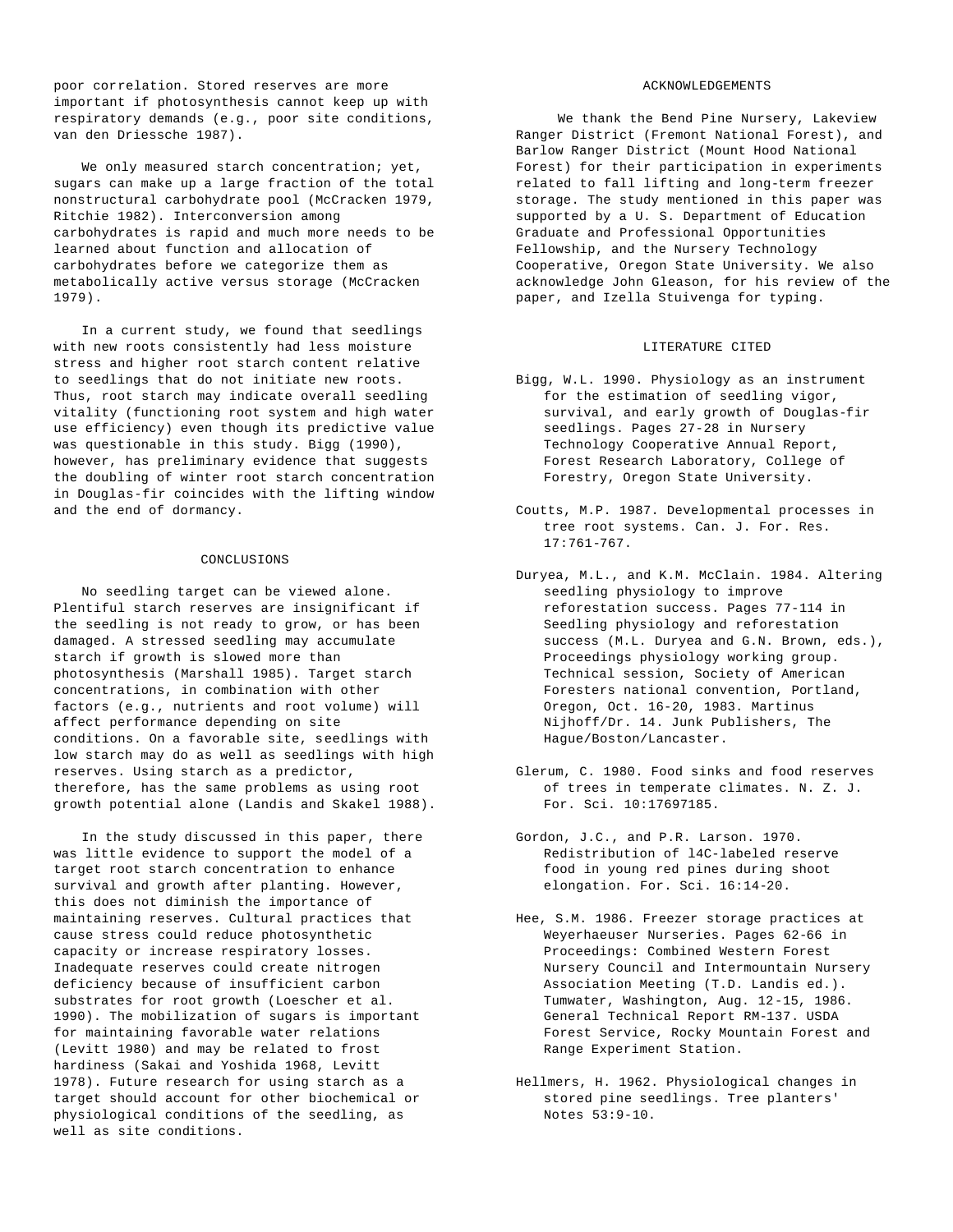poor correlation. Stored reserves are more important if photosynthesis cannot keep up with respiratory demands (e.g., poor site conditions, van den Driessche 1987).

We only measured starch concentration; yet, sugars can make up a large fraction of the total nonstructural carbohydrate pool (McCracken 1979, Ritchie 1982). Interconversion among carbohydrates is rapid and much more needs to be learned about function and allocation of carbohydrates before we categorize them as metabolically active versus storage (McCracken 1979).

In a current study, we found that seedlings with new roots consistently had less moisture stress and higher root starch content relative to seedlings that do not initiate new roots. Thus, root starch may indicate overall seedling vitality (functioning root system and high water use efficiency) even though its predictive value was questionable in this study. Bigg (1990), however, has preliminary evidence that suggests the doubling of winter root starch concentration in Douglas-fir coincides with the lifting window and the end of dormancy.

#### CONCLUSIONS

No seedling target can be viewed alone. Plentiful starch reserves are insignificant if the seedling is not ready to grow, or has been damaged. A stressed seedling may accumulate starch if growth is slowed more than photosynthesis (Marshall 1985). Target starch concentrations, in combination with other factors (e.g., nutrients and root volume) will affect performance depending on site conditions. On a favorable site, seedlings with low starch may do as well as seedlings with high reserves. Using starch as a predictor, therefore, has the same problems as using root growth potential alone (Landis and Skakel 1988).

In the study discussed in this paper, there was little evidence to support the model of a target root starch concentration to enhance survival and growth after planting. However, this does not diminish the importance of maintaining reserves. Cultural practices that cause stress could reduce photosynthetic capacity or increase respiratory losses. Inadequate reserves could create nitrogen deficiency because of insufficient carbon substrates for root growth (Loescher et al. 1990). The mobilization of sugars is important for maintaining favorable water relations (Levitt 1980) and may be related to frost hardiness (Sakai and Yoshida 1968, Levitt 1978). Future research for using starch as a target should account for other biochemical or physiological conditions of the seedling, as well as site conditions.

#### ACKNOWLEDGEMENTS

We thank the Bend Pine Nursery, Lakeview Ranger District (Fremont National Forest), and Barlow Ranger District (Mount Hood National Forest) for their participation in experiments related to fall lifting and long-term freezer storage. The study mentioned in this paper was supported by a U. S. Department of Education Graduate and Professional Opportunities Fellowship, and the Nursery Technology Cooperative, Oregon State University. We also acknowledge John Gleason, for his review of the paper, and Izella Stuivenga for typing.

#### LITERATURE CITED

- Bigg, W.L. 1990. Physiology as an instrument for the estimation of seedling vigor, survival, and early growth of Douglas-fir seedlings. Pages 27-28 in Nursery Technology Cooperative Annual Report, Forest Research Laboratory, College of Forestry, Oregon State University.
- Coutts, M.P. 1987. Developmental processes in tree root systems. Can. J. For. Res. 17:761-767.
- Duryea, M.L., and K.M. McClain. 1984. Altering seedling physiology to improve reforestation success. Pages 77-114 in Seedling physiology and reforestation success (M.L. Duryea and G.N. Brown, eds.), Proceedings physiology working group. Technical session, Society of American Foresters national convention, Portland, Oregon, Oct. 16-20, 1983. Martinus Nijhoff/Dr. 14. Junk Publishers, The Hague/Boston/Lancaster.
- Glerum, C. 1980. Food sinks and food reserves of trees in temperate climates. N. Z. J. For. Sci. 10:17697185.
- Gordon, J.C., and P.R. Larson. 1970. Redistribution of l4C-labeled reserve food in young red pines during shoot elongation. For. Sci. 16:14-20.
- Hee, S.M. 1986. Freezer storage practices at Weyerhaeuser Nurseries. Pages 62-66 in Proceedings: Combined Western Forest Nursery Council and Intermountain Nursery Association Meeting (T.D. Landis ed.). Tumwater, Washington, Aug. 12-15, 1986. General Technical Report RM-137. USDA Forest Service, Rocky Mountain Forest and Range Experiment Station.
- Hellmers, H. 1962. Physiological changes in stored pine seedlings. Tree planters' Notes 53:9-10.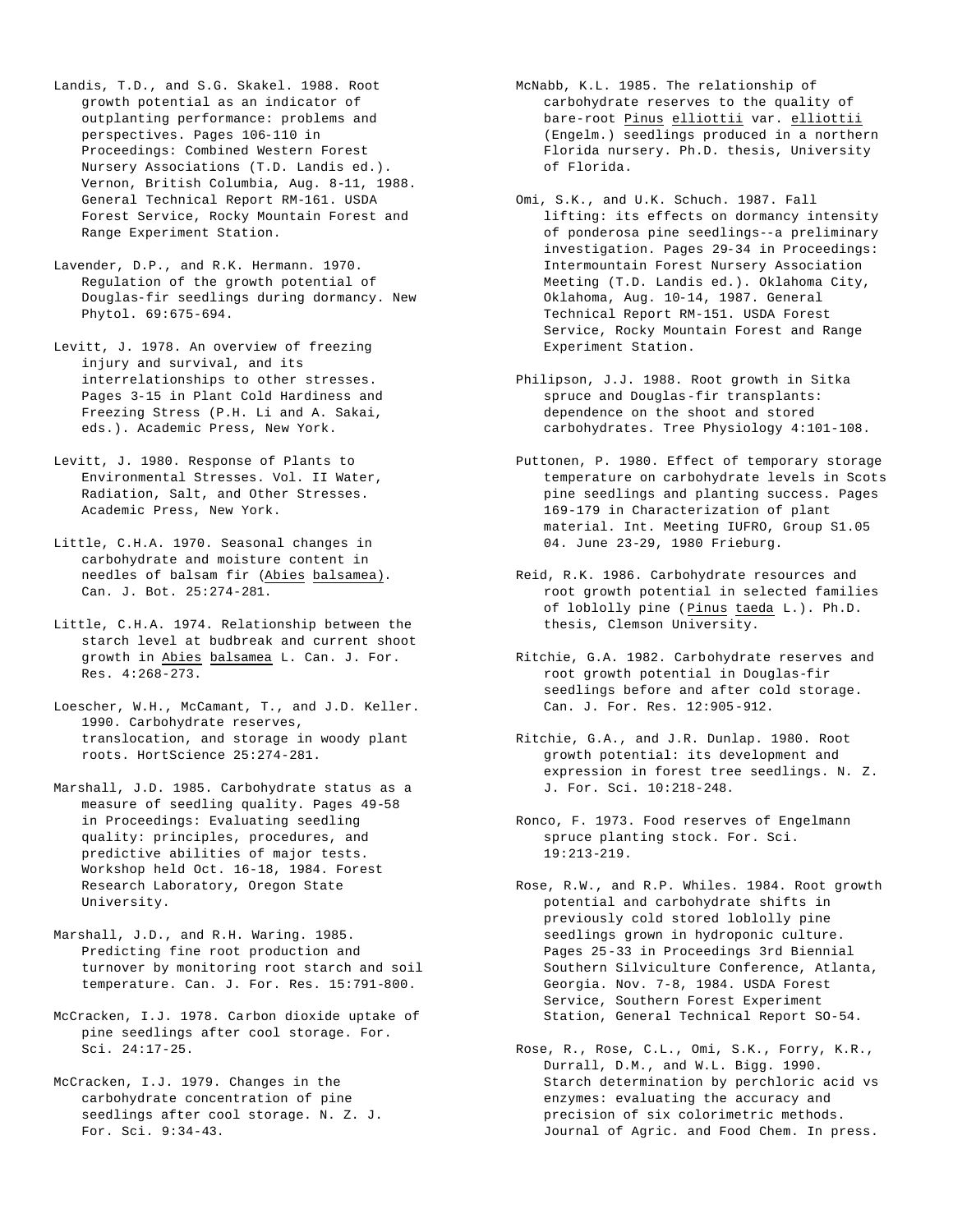- Landis, T.D., and S.G. Skakel. 1988. Root growth potential as an indicator of outplanting performance: problems and perspectives. Pages 106-110 in Proceedings: Combined Western Forest Nursery Associations (T.D. Landis ed.). Vernon, British Columbia, Aug. 8-11, 1988. General Technical Report RM-161. USDA Forest Service, Rocky Mountain Forest and Range Experiment Station.
- Lavender, D.P., and R.K. Hermann. 1970. Regulation of the growth potential of Douglas-fir seedlings during dormancy. New Phytol. 69:675-694.
- Levitt, J. 1978. An overview of freezing injury and survival, and its interrelationships to other stresses. Pages 3-15 in Plant Cold Hardiness and Freezing Stress (P.H. Li and A. Sakai, eds.). Academic Press, New York.
- Levitt, J. 1980. Response of Plants to Environmental Stresses. Vol. II Water, Radiation, Salt, and Other Stresses. Academic Press, New York.
- Little, C.H.A. 1970. Seasonal changes in carbohydrate and moisture content in needles of balsam fir (Abies balsamea). Can. J. Bot. 25:274-281.
- Little, C.H.A. 1974. Relationship between the starch level at budbreak and current shoot growth in Abies balsamea L. Can. J. For. Res. 4:268-273.
- Loescher, W.H., McCamant, T., and J.D. Keller. 1990. Carbohydrate reserves, translocation, and storage in woody plant roots. HortScience 25:274-281.
- Marshall, J.D. 1985. Carbohydrate status as a measure of seedling quality. Pages 49-58 in Proceedings: Evaluating seedling quality: principles, procedures, and predictive abilities of major tests. Workshop held Oct. 16-18, 1984. Forest Research Laboratory, Oregon State University.
- Marshall, J.D., and R.H. Waring. 1985. Predicting fine root production and turnover by monitoring root starch and soil temperature. Can. J. For. Res. 15:791-800.
- McCracken, I.J. 1978. Carbon dioxide uptake of pine seedlings after cool storage. For. Sci. 24:17-25.
- McCracken, I.J. 1979. Changes in the carbohydrate concentration of pine seedlings after cool storage. N. Z. J. For. Sci. 9:34-43.
- McNabb, K.L. 1985. The relationship of carbohydrate reserves to the quality of bare-root Pinus elliottii var. elliottii (Engelm.) seedlings produced in a northern Florida nursery. Ph.D. thesis, University of Florida.
- Omi, S.K., and U.K. Schuch. 1987. Fall lifting: its effects on dormancy intensity of ponderosa pine seedlings--a preliminary investigation. Pages 29-34 in Proceedings: Intermountain Forest Nursery Association Meeting (T.D. Landis ed.). Oklahoma City, Oklahoma, Aug. 10-14, 1987. General Technical Report RM-151. USDA Forest Service, Rocky Mountain Forest and Range Experiment Station.
- Philipson, J.J. 1988. Root growth in Sitka spruce and Douglas-fir transplants: dependence on the shoot and stored carbohydrates. Tree Physiology 4:101-108.
- Puttonen, P. 1980. Effect of temporary storage temperature on carbohydrate levels in Scots pine seedlings and planting success. Pages 169-179 in Characterization of plant material. Int. Meeting IUFRO, Group S1.05 04. June 23-29, 1980 Frieburg.
- Reid, R.K. 1986. Carbohydrate resources and root growth potential in selected families of loblolly pine (Pinus taeda L.). Ph.D. thesis, Clemson University.
- Ritchie, G.A. 1982. Carbohydrate reserves and root growth potential in Douglas-fir seedlings before and after cold storage. Can. J. For. Res. 12:905-912.
- Ritchie, G.A., and J.R. Dunlap. 1980. Root growth potential: its development and expression in forest tree seedlings. N. Z. J. For. Sci. 10:218-248.
- Ronco, F. 1973. Food reserves of Engelmann spruce planting stock. For. Sci. 19:213-219.
- Rose, R.W., and R.P. Whiles. 1984. Root growth potential and carbohydrate shifts in previously cold stored loblolly pine seedlings grown in hydroponic culture. Pages 25-33 in Proceedings 3rd Biennial Southern Silviculture Conference, Atlanta, Georgia. Nov. 7-8, 1984. USDA Forest Service, Southern Forest Experiment Station, General Technical Report SO-54.
- Rose, R., Rose, C.L., Omi, S.K., Forry, K.R., Durrall, D.M., and W.L. Bigg. 1990. Starch determination by perchloric acid vs enzymes: evaluating the accuracy and precision of six colorimetric methods. Journal of Agric. and Food Chem. In press.